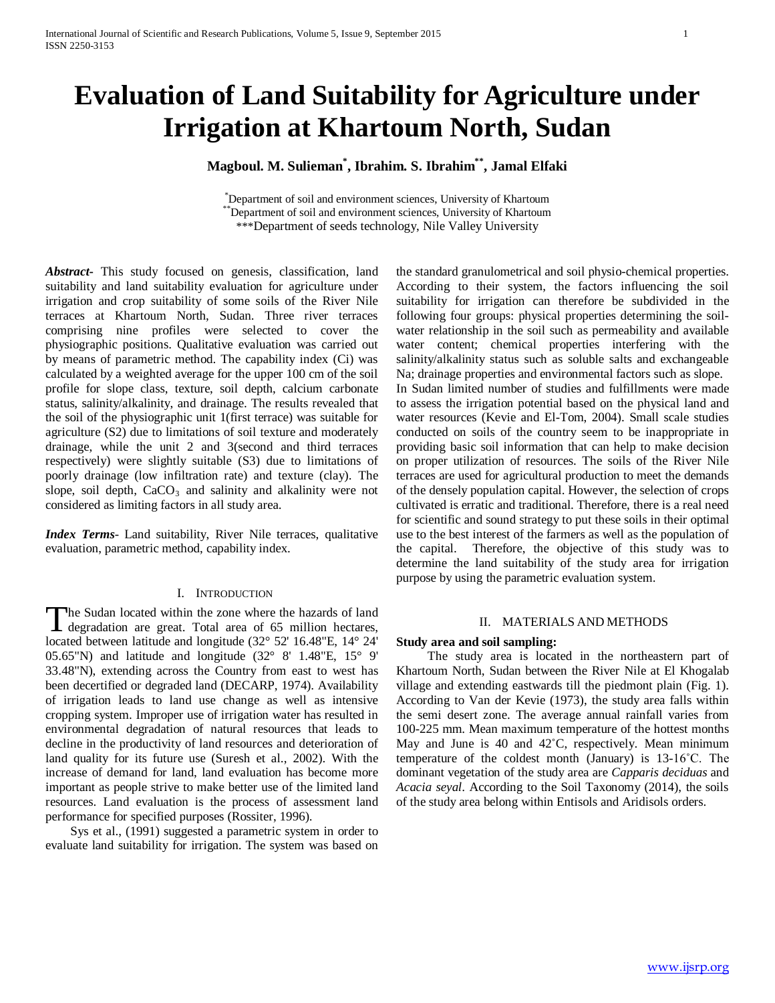# **Evaluation of Land Suitability for Agriculture under Irrigation at Khartoum North, Sudan**

## **Magboul. M. Sulieman\* , Ibrahim. S. Ibrahim\*\*, Jamal Elfaki**

\* Department of soil and environment sciences, University of Khartoum \*Department of soil and environment sciences, University of Khartoum \*\*\*Department of seeds technology, Nile Valley University

*Abstract***-** This study focused on genesis, classification, land suitability and land suitability evaluation for agriculture under irrigation and crop suitability of some soils of the River Nile terraces at Khartoum North, Sudan. Three river terraces comprising nine profiles were selected to cover the physiographic positions. Qualitative evaluation was carried out by means of parametric method. The capability index (Ci) was calculated by a weighted average for the upper 100 cm of the soil profile for slope class, texture, soil depth, calcium carbonate status, salinity/alkalinity, and drainage. The results revealed that the soil of the physiographic unit 1(first terrace) was suitable for agriculture (S2) due to limitations of soil texture and moderately drainage, while the unit 2 and 3(second and third terraces respectively) were slightly suitable (S3) due to limitations of poorly drainage (low infiltration rate) and texture (clay). The slope, soil depth,  $CaCO<sub>3</sub>$  and salinity and alkalinity were not considered as limiting factors in all study area.

*Index Terms*- Land suitability, River Nile terraces, qualitative evaluation, parametric method, capability index.

## I. INTRODUCTION

he Sudan located within the zone where the hazards of land The Sudan located within the zone where the hazards of land<br>degradation are great. Total area of 65 million hectares, located between latitude and longitude (32° 52' 16.48"E, 14° 24' 05.65"N) and latitude and longitude (32° 8' 1.48"E, 15° 9' 33.48"N), extending across the Country from east to west has been decertified or degraded land (DECARP, 1974). Availability of irrigation leads to land use change as well as intensive cropping system. Improper use of irrigation water has resulted in environmental degradation of natural resources that leads to decline in the productivity of land resources and deterioration of land quality for its future use (Suresh et al., 2002). With the increase of demand for land, land evaluation has become more important as people strive to make better use of the limited land resources. Land evaluation is the process of assessment land performance for specified purposes (Rossiter, 1996).

 Sys et al., (1991) suggested a parametric system in order to evaluate land suitability for irrigation. The system was based on

the standard granulometrical and soil physio-chemical properties. According to their system, the factors influencing the soil suitability for irrigation can therefore be subdivided in the following four groups: physical properties determining the soilwater relationship in the soil such as permeability and available water content; chemical properties interfering with the salinity/alkalinity status such as soluble salts and exchangeable Na; drainage properties and environmental factors such as slope. In Sudan limited number of studies and fulfillments were made to assess the irrigation potential based on the physical land and water resources (Kevie and El-Tom, 2004). Small scale studies conducted on soils of the country seem to be inappropriate in providing basic soil information that can help to make decision on proper utilization of resources. The soils of the River Nile terraces are used for agricultural production to meet the demands of the densely population capital. However, the selection of crops cultivated is erratic and traditional. Therefore, there is a real need for scientific and sound strategy to put these soils in their optimal use to the best interest of the farmers as well as the population of the capital. Therefore, the objective of this study was to determine the land suitability of the study area for irrigation purpose by using the parametric evaluation system.

#### II. MATERIALS AND METHODS

#### **Study area and soil sampling:**

 The study area is located in the northeastern part of Khartoum North, Sudan between the River Nile at El Khogalab village and extending eastwards till the piedmont plain (Fig. 1). According to Van der Kevie (1973), the study area falls within the semi desert zone. The average annual rainfall varies from 100-225 mm. Mean maximum temperature of the hottest months May and June is 40 and 42°C, respectively. Mean minimum temperature of the coldest month (January) is 13-16˚C. The dominant vegetation of the study area are *Capparis deciduas* and *Acacia seyal*. According to the Soil Taxonomy (2014), the soils of the study area belong within Entisols and Aridisols orders.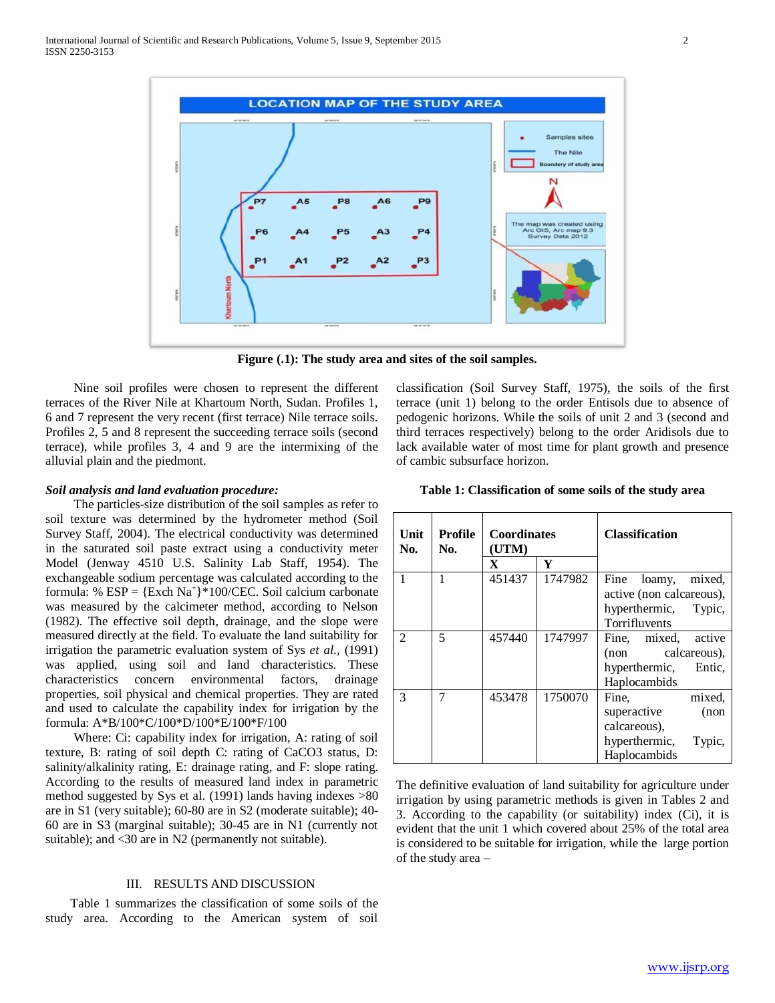

**Figure (.1): The study area and sites of the soil samples.**

 Nine soil profiles were chosen to represent the different terraces of the River Nile at Khartoum North, Sudan. Profiles 1, 6 and 7 represent the very recent (first terrace) Nile terrace soils. Profiles 2, 5 and 8 represent the succeeding terrace soils (second terrace), while profiles 3, 4 and 9 are the intermixing of the alluvial plain and the piedmont.

classification (Soil Survey Staff, 1975), the soils of the first terrace (unit 1) belong to the order Entisols due to absence of pedogenic horizons. While the soils of unit 2 and 3 (second and third terraces respectively) belong to the order Aridisols due to lack available water of most time for plant growth and presence of cambic subsurface horizon.

## *Soil analysis and land evaluation procedure:*

 The particles-size distribution of the soil samples as refer to soil texture was determined by the hydrometer method (Soil Survey Staff, 2004). The electrical conductivity was determined in the saturated soil paste extract using a conductivity meter Model (Jenway 4510 U.S. Salinity Lab Staff, 1954). The exchangeable sodium percentage was calculated according to the formula: %  $ESP = \{Exch Na^+\} * 100/CEC$ . Soil calcium carbonate was measured by the calcimeter method, according to Nelson (1982). The effective soil depth, drainage, and the slope were measured directly at the field. To evaluate the land suitability for irrigation the parametric evaluation system of Sys *et al.,* (1991) was applied, using soil and land characteristics. These characteristics concern environmental factors, drainage properties, soil physical and chemical properties. They are rated and used to calculate the capability index for irrigation by the formula: A\*B/100\*C/100\*D/100\*E/100\*F/100

 Where: Ci: capability index for irrigation, A: rating of soil texture, B: rating of soil depth C: rating of CaCO3 status, D: salinity/alkalinity rating, E: drainage rating, and F: slope rating. According to the results of measured land index in parametric method suggested by Sys et al. (1991) lands having indexes >80 are in S1 (very suitable); 60-80 are in S2 (moderate suitable); 40- 60 are in S3 (marginal suitable); 30-45 are in N1 (currently not suitable); and <30 are in N2 (permanently not suitable).

## III. RESULTS AND DISCUSSION

 Table 1 summarizes the classification of some soils of the study area. According to the American system of soil

**Table 1: Classification of some soils of the study area**

| Unit<br>No. | Profile<br>No. | <b>Coordinates</b><br>(UTM) |         | <b>Classification</b>    |  |  |
|-------------|----------------|-----------------------------|---------|--------------------------|--|--|
|             |                | $\mathbf X$                 | Y       |                          |  |  |
|             |                | 451437                      | 1747982 | Fine loamy,<br>mixed.    |  |  |
|             |                |                             |         | active (non calcareous), |  |  |
|             |                |                             |         | hyperthermic, Typic,     |  |  |
|             |                |                             |         | Torrifluvents            |  |  |
| 2           | 5              | 457440                      | 1747997 | Fine, mixed, active      |  |  |
|             |                |                             |         | (non calcareous),        |  |  |
|             |                |                             |         | hyperthermic, Entic,     |  |  |
|             |                |                             |         | Haplocambids             |  |  |
| 3           | 7              | 453478                      | 1750070 | mixed,<br>Fine.          |  |  |
|             |                |                             |         | superactive<br>(non      |  |  |
|             |                |                             |         | calcareous),             |  |  |
|             |                |                             |         | hyperthermic,<br>Typic,  |  |  |
|             |                |                             |         | Haplocambids             |  |  |

The definitive evaluation of land suitability for agriculture under irrigation by using parametric methods is given in Tables 2 and 3. According to the capability (or suitability) index (Ci), it is evident that the unit 1 which covered about 25% of the total area is considered to be suitable for irrigation, while the large portion of the study area –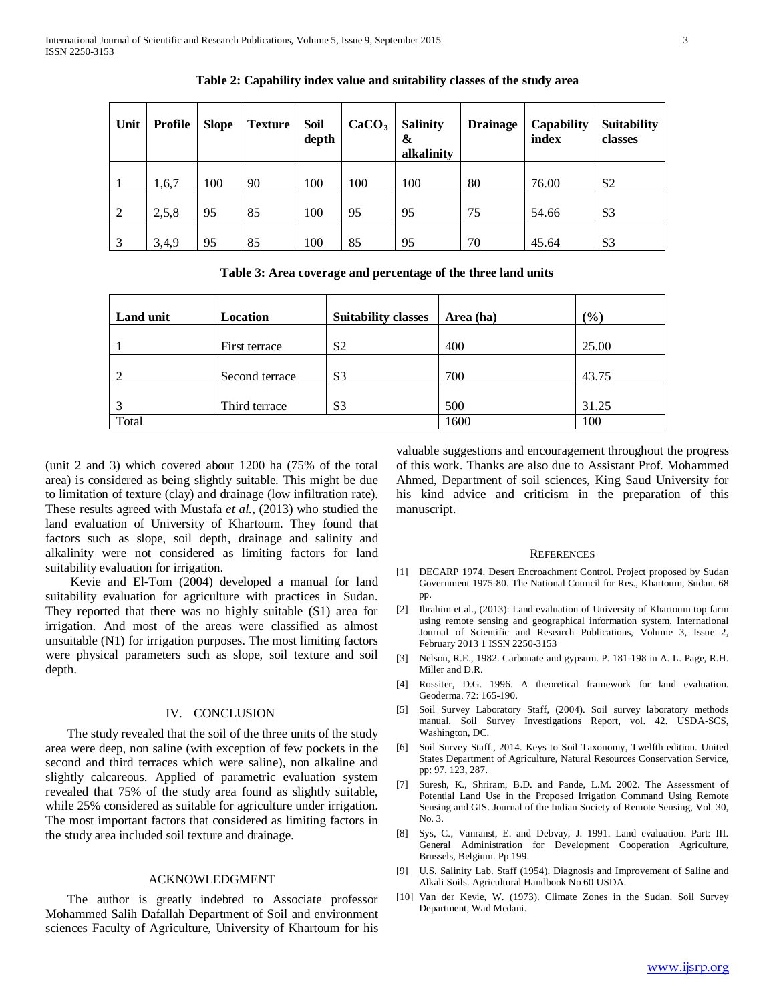| Unit           | <b>Profile</b> | <b>Slope</b> | <b>Texture</b> | Soil<br>depth | CaCO <sub>3</sub> | <b>Salinity</b><br>&<br>alkalinity | <b>Drainage</b> | Capability<br>index | <b>Suitability</b><br>classes |
|----------------|----------------|--------------|----------------|---------------|-------------------|------------------------------------|-----------------|---------------------|-------------------------------|
|                | 1,6,7          | 100          | 90             | 100           | 100               | 100                                | 80              | 76.00               | S <sub>2</sub>                |
| $\overline{2}$ | 2,5,8          | 95           | 85             | 100           | 95                | 95                                 | 75              | 54.66               | S <sub>3</sub>                |
| 3              | 3,4,9          | 95           | 85             | 100           | 85                | 95                                 | 70              | 45.64               | S <sub>3</sub>                |

**Table 2: Capability index value and suitability classes of the study area**

**Table 3: Area coverage and percentage of the three land units**

| <b>Land unit</b> | Location       | <b>Suitability classes</b> | Area (ha) | (%)   |
|------------------|----------------|----------------------------|-----------|-------|
|                  | First terrace  | S <sub>2</sub>             | 400       | 25.00 |
|                  | Second terrace | S <sub>3</sub>             | 700       | 43.75 |
|                  | Third terrace  | S <sub>3</sub>             | 500       | 31.25 |
| Total            |                |                            | 1600      | 100   |

(unit 2 and 3) which covered about 1200 ha (75% of the total area) is considered as being slightly suitable. This might be due to limitation of texture (clay) and drainage (low infiltration rate). These results agreed with Mustafa *et al.,* (2013) who studied the land evaluation of University of Khartoum. They found that factors such as slope, soil depth, drainage and salinity and alkalinity were not considered as limiting factors for land suitability evaluation for irrigation.

 Kevie and El-Tom (2004) developed a manual for land suitability evaluation for agriculture with practices in Sudan. They reported that there was no highly suitable (S1) area for irrigation. And most of the areas were classified as almost unsuitable (N1) for irrigation purposes. The most limiting factors were physical parameters such as slope, soil texture and soil depth.

### IV. CONCLUSION

 The study revealed that the soil of the three units of the study area were deep, non saline (with exception of few pockets in the second and third terraces which were saline), non alkaline and slightly calcareous. Applied of parametric evaluation system revealed that 75% of the study area found as slightly suitable, while 25% considered as suitable for agriculture under irrigation. The most important factors that considered as limiting factors in the study area included soil texture and drainage.

## ACKNOWLEDGMENT

 The author is greatly indebted to Associate professor Mohammed Salih Dafallah Department of Soil and environment sciences Faculty of Agriculture, University of Khartoum for his valuable suggestions and encouragement throughout the progress of this work. Thanks are also due to Assistant Prof. Mohammed Ahmed, Department of soil sciences, King Saud University for his kind advice and criticism in the preparation of this manuscript.

#### **REFERENCES**

- [1] DECARP 1974. Desert Encroachment Control. Project proposed by Sudan Government 1975-80. The National Council for Res., Khartoum, Sudan. 68 pp.
- [2] Ibrahim et al., (2013): Land evaluation of University of Khartoum top farm using remote sensing and geographical information system, International Journal of Scientific and Research Publications, Volume 3, Issue 2, February 2013 1 ISSN 2250-3153
- [3] Nelson, R.E., 1982. Carbonate and gypsum. P. 181-198 in A. L. Page, R.H. Miller and D.R.
- [4] Rossiter, D.G. 1996. A theoretical framework for land evaluation. Geoderma. 72: 165-190.
- [5] Soil Survey Laboratory Staff, (2004). Soil survey laboratory methods manual. Soil Survey Investigations Report, vol. 42. USDA-SCS, Washington, DC.
- [6] Soil Survey Staff., 2014. Keys to Soil Taxonomy, Twelfth edition. United States Department of Agriculture, Natural Resources Conservation Service, pp: 97, 123, 287.
- [7] Suresh, K., Shriram, B.D. and Pande, L.M. 2002. The Assessment of Potential Land Use in the Proposed Irrigation Command Using Remote Sensing and GIS. Journal of the Indian Society of Remote Sensing, Vol. 30, No. 3.
- [8] Sys, C., Vanranst, E. and Debvay, J. 1991. Land evaluation. Part: III. General Administration for Development Cooperation Agriculture, Brussels, Belgium. Pp 199.
- [9] U.S. Salinity Lab. Staff (1954). Diagnosis and Improvement of Saline and Alkali Soils. Agricultural Handbook No 60 USDA.
- [10] Van der Kevie, W. (1973). Climate Zones in the Sudan. Soil Survey Department, Wad Medani.